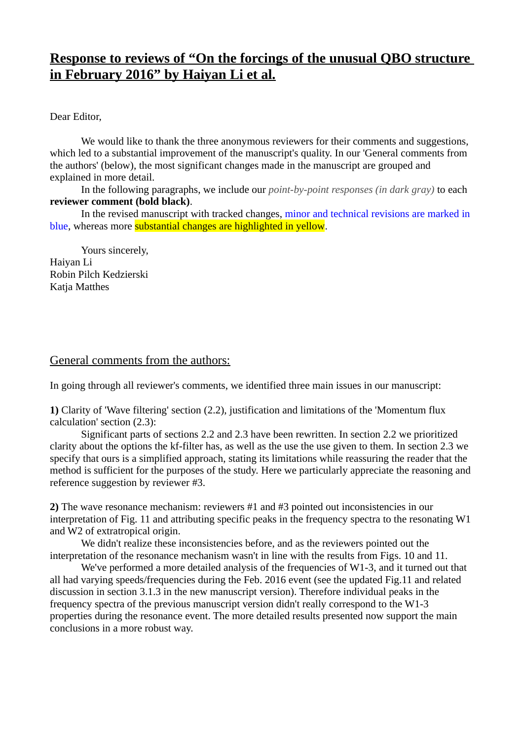## **Response to reviews of "On the forcings of the unusual QBO structure in February 2016" by Haiyan Li et al.**

Dear Editor,

We would like to thank the three anonymous reviewers for their comments and suggestions, which led to a substantial improvement of the manuscript's quality. In our 'General comments from the authors' (below), the most significant changes made in the manuscript are grouped and explained in more detail.

In the following paragraphs, we include our *point-by-point responses (in dark gray)* to each **reviewer comment (bold black)**.

In the revised manuscript with tracked changes, minor and technical revisions are marked in blue, whereas more substantial changes are highlighted in yellow.

Yours sincerely, Haiyan Li Robin Pilch Kedzierski Katia Matthes

### General comments from the authors:

In going through all reviewer's comments, we identified three main issues in our manuscript:

**1)** Clarity of 'Wave filtering' section (2.2), justification and limitations of the 'Momentum flux calculation' section (2.3):

Significant parts of sections 2.2 and 2.3 have been rewritten. In section 2.2 we prioritized clarity about the options the kf-filter has, as well as the use the use given to them. In section 2.3 we specify that ours is a simplified approach, stating its limitations while reassuring the reader that the method is sufficient for the purposes of the study. Here we particularly appreciate the reasoning and reference suggestion by reviewer #3.

**2)** The wave resonance mechanism: reviewers #1 and #3 pointed out inconsistencies in our interpretation of Fig. 11 and attributing specific peaks in the frequency spectra to the resonating W1 and W2 of extratropical origin.

We didn't realize these inconsistencies before, and as the reviewers pointed out the interpretation of the resonance mechanism wasn't in line with the results from Figs. 10 and 11.

We've performed a more detailed analysis of the frequencies of W1-3, and it turned out that all had varying speeds/frequencies during the Feb. 2016 event (see the updated Fig.11 and related discussion in section 3.1.3 in the new manuscript version). Therefore individual peaks in the frequency spectra of the previous manuscript version didn't really correspond to the W1-3 properties during the resonance event. The more detailed results presented now support the main conclusions in a more robust way.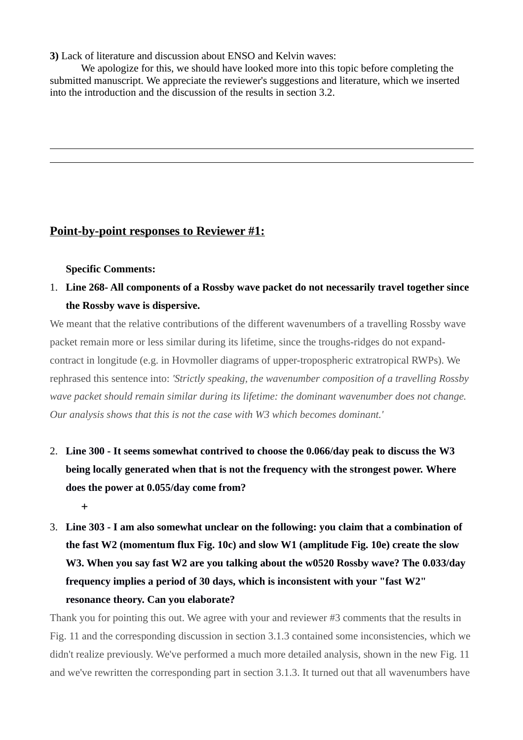**3)** Lack of literature and discussion about ENSO and Kelvin waves:

We apologize for this, we should have looked more into this topic before completing the submitted manuscript. We appreciate the reviewer's suggestions and literature, which we inserted into the introduction and the discussion of the results in section 3.2.

## **Point-by-point responses to Reviewer #1:**

### **Specific Comments:**

1. **Line 268- All components of a Rossby wave packet do not necessarily travel together since the Rossby wave is dispersive.**

We meant that the relative contributions of the different wavenumbers of a travelling Rossby wave packet remain more or less similar during its lifetime, since the troughs-ridges do not expandcontract in longitude (e.g. in Hovmoller diagrams of upper-tropospheric extratropical RWPs). We rephrased this sentence into: *'Strictly speaking, the wavenumber composition of a travelling Rossby wave packet should remain similar during its lifetime: the dominant wavenumber does not change. Our analysis shows that this is not the case with W3 which becomes dominant.'*

2. **Line 300 - It seems somewhat contrived to choose the 0.066/day peak to discuss the W3 being locally generated when that is not the frequency with the strongest power. Where does the power at 0.055/day come from?**

**+**

3. **Line 303 - I am also somewhat unclear on the following: you claim that a combination of the fast W2 (momentum flux Fig. 10c) and slow W1 (amplitude Fig. 10e) create the slow W3. When you say fast W2 are you talking about the w0520 Rossby wave? The 0.033/day frequency implies a period of 30 days, which is inconsistent with your "fast W2" resonance theory. Can you elaborate?**

Thank you for pointing this out. We agree with your and reviewer #3 comments that the results in Fig. 11 and the corresponding discussion in section 3.1.3 contained some inconsistencies, which we didn't realize previously. We've performed a much more detailed analysis, shown in the new Fig. 11 and we've rewritten the corresponding part in section 3.1.3. It turned out that all wavenumbers have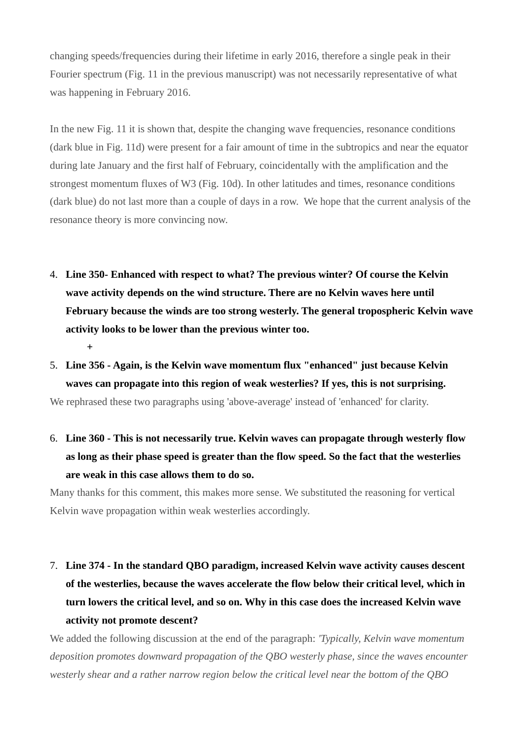changing speeds/frequencies during their lifetime in early 2016, therefore a single peak in their Fourier spectrum (Fig. 11 in the previous manuscript) was not necessarily representative of what was happening in February 2016.

In the new Fig. 11 it is shown that, despite the changing wave frequencies, resonance conditions (dark blue in Fig. 11d) were present for a fair amount of time in the subtropics and near the equator during late January and the first half of February, coincidentally with the amplification and the strongest momentum fluxes of W3 (Fig. 10d). In other latitudes and times, resonance conditions (dark blue) do not last more than a couple of days in a row. We hope that the current analysis of the resonance theory is more convincing now.

- 4. **Line 350- Enhanced with respect to what? The previous winter? Of course the Kelvin wave activity depends on the wind structure. There are no Kelvin waves here until February because the winds are too strong westerly. The general tropospheric Kelvin wave activity looks to be lower than the previous winter too. +**
- 5. **Line 356 Again, is the Kelvin wave momentum flux "enhanced" just because Kelvin waves can propagate into this region of weak westerlies? If yes, this is not surprising.**

We rephrased these two paragraphs using 'above-average' instead of 'enhanced' for clarity.

6. **Line 360 - This is not necessarily true. Kelvin waves can propagate through westerly flow as long as their phase speed is greater than the flow speed. So the fact that the westerlies are weak in this case allows them to do so.**

Many thanks for this comment, this makes more sense. We substituted the reasoning for vertical Kelvin wave propagation within weak westerlies accordingly.

7. **Line 374 - In the standard QBO paradigm, increased Kelvin wave activity causes descent of the westerlies, because the waves accelerate the flow below their critical level, which in turn lowers the critical level, and so on. Why in this case does the increased Kelvin wave activity not promote descent?**

We added the following discussion at the end of the paragraph: *'Typically, Kelvin wave momentum deposition promotes downward propagation of the QBO westerly phase, since the waves encounter westerly shear and a rather narrow region below the critical level near the bottom of the QBO*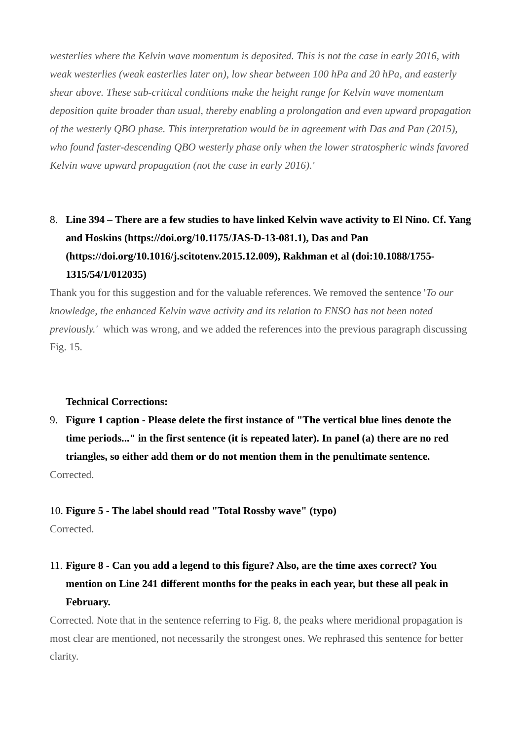*westerlies where the Kelvin wave momentum is deposited. This is not the case in early 2016, with weak westerlies (weak easterlies later on), low shear between 100 hPa and 20 hPa, and easterly shear above. These sub-critical conditions make the height range for Kelvin wave momentum deposition quite broader than usual, thereby enabling a prolongation and even upward propagation of the westerly QBO phase. This interpretation would be in agreement with Das and Pan (2015), who found faster-descending QBO westerly phase only when the lower stratospheric winds favored Kelvin wave upward propagation (not the case in early 2016).'*

# 8. **Line 394 – There are a few studies to have linked Kelvin wave activity to El Nino. Cf. Yang and Hoskins (https://doi.org/10.1175/JAS-D-13-081.1), Das and Pan (https://doi.org/10.1016/j.scitotenv.2015.12.009), Rakhman et al (doi:10.1088/1755- 1315/54/1/012035)**

Thank you for this suggestion and for the valuable references. We removed the sentence '*To our knowledge, the enhanced Kelvin wave activity and its relation to ENSO has not been noted previously.'* which was wrong, and we added the references into the previous paragraph discussing Fig. 15.

### **Technical Corrections:**

9. **Figure 1 caption - Please delete the first instance of "The vertical blue lines denote the time periods..." in the first sentence (it is repeated later). In panel (a) there are no red triangles, so either add them or do not mention them in the penultimate sentence.** Corrected.

#### 10. **Figure 5 - The label should read "Total Rossby wave" (typo)**

Corrected.

# 11. **Figure 8 - Can you add a legend to this figure? Also, are the time axes correct? You mention on Line 241 different months for the peaks in each year, but these all peak in February.**

Corrected. Note that in the sentence referring to Fig. 8, the peaks where meridional propagation is most clear are mentioned, not necessarily the strongest ones. We rephrased this sentence for better clarity.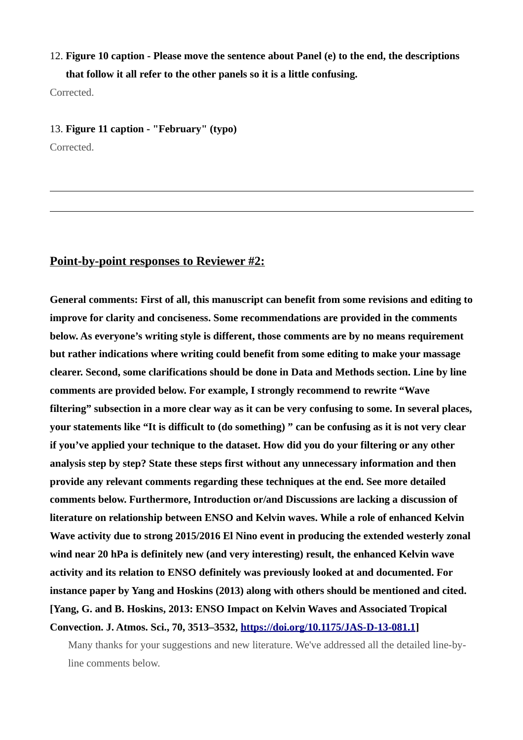## 12. **Figure 10 caption - Please move the sentence about Panel (e) to the end, the descriptions that follow it all refer to the other panels so it is a little confusing.**

Corrected.

#### 13. **Figure 11 caption - "February" (typo)**

Corrected.

### **Point-by-point responses to Reviewer #2:**

**General comments: First of all, this manuscript can benefit from some revisions and editing to improve for clarity and conciseness. Some recommendations are provided in the comments below. As everyone's writing style is different, those comments are by no means requirement but rather indications where writing could benefit from some editing to make your massage clearer. Second, some clarifications should be done in Data and Methods section. Line by line comments are provided below. For example, I strongly recommend to rewrite "Wave filtering" subsection in a more clear way as it can be very confusing to some. In several places, your statements like "It is difficult to (do something) " can be confusing as it is not very clear if you've applied your technique to the dataset. How did you do your filtering or any other analysis step by step? State these steps first without any unnecessary information and then provide any relevant comments regarding these techniques at the end. See more detailed comments below. Furthermore, Introduction or/and Discussions are lacking a discussion of literature on relationship between ENSO and Kelvin waves. While a role of enhanced Kelvin Wave activity due to strong 2015/2016 El Nino event in producing the extended westerly zonal wind near 20 hPa is definitely new (and very interesting) result, the enhanced Kelvin wave activity and its relation to ENSO definitely was previously looked at and documented. For instance paper by Yang and Hoskins (2013) along with others should be mentioned and cited. [Yang, G. and B. Hoskins, 2013: ENSO Impact on Kelvin Waves and Associated Tropical Convection. J. Atmos. Sci., 70, 3513–3532, [https://doi.org/10.1175/JAS-D-13-081.1\]](https://doi.org/10.1175/JAS-D-13-081.1)**

Many thanks for your suggestions and new literature. We've addressed all the detailed line-byline comments below.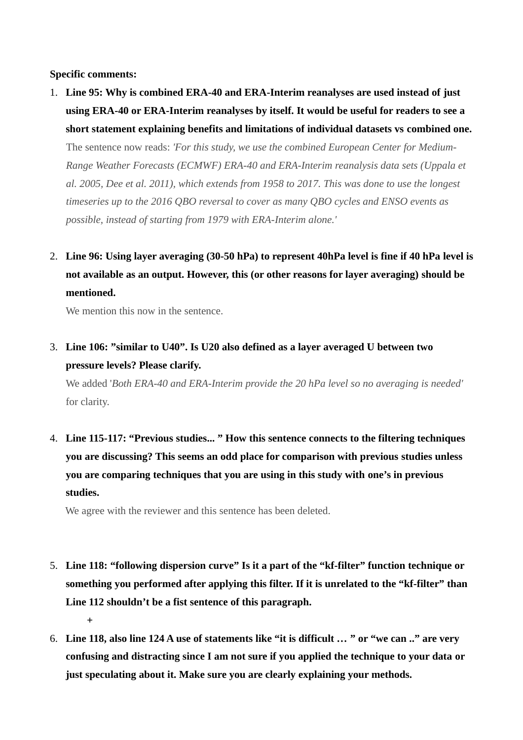**Specific comments:**

- 1. **Line 95: Why is combined ERA-40 and ERA-Interim reanalyses are used instead of just using ERA-40 or ERA-Interim reanalyses by itself. It would be useful for readers to see a short statement explaining benefits and limitations of individual datasets vs combined one.** The sentence now reads: *'For this study, we use the combined European Center for Medium-Range Weather Forecasts (ECMWF) ERA-40 and ERA-Interim reanalysis data sets (Uppala et al. 2005, Dee et al. 2011), which extends from 1958 to 2017. This was done to use the longest timeseries up to the 2016 QBO reversal to cover as many QBO cycles and ENSO events as possible, instead of starting from 1979 with ERA-Interim alone.'*
- 2. **Line 96: Using layer averaging (30-50 hPa) to represent 40hPa level is fine if 40 hPa level is not available as an output. However, this (or other reasons for layer averaging) should be mentioned.**

We mention this now in the sentence.

# 3. **Line 106: "similar to U40". Is U20 also defined as a layer averaged U between two pressure levels? Please clarify.**

We added '*Both ERA-40 and ERA-Interim provide the 20 hPa level so no averaging is needed'*  for clarity.

4. **Line 115-117: "Previous studies... " How this sentence connects to the filtering techniques you are discussing? This seems an odd place for comparison with previous studies unless you are comparing techniques that you are using in this study with one's in previous studies.**

We agree with the reviewer and this sentence has been deleted.

- 5. **Line 118: "following dispersion curve" Is it a part of the "kf-filter" function technique or something you performed after applying this filter. If it is unrelated to the "kf-filter" than Line 112 shouldn't be a fist sentence of this paragraph. +**
- 6. **Line 118, also line 124 A use of statements like "it is difficult** *…* **" or "we can .." are very confusing and distracting since I am not sure if you applied the technique to your data or just speculating about it. Make sure you are clearly explaining your methods.**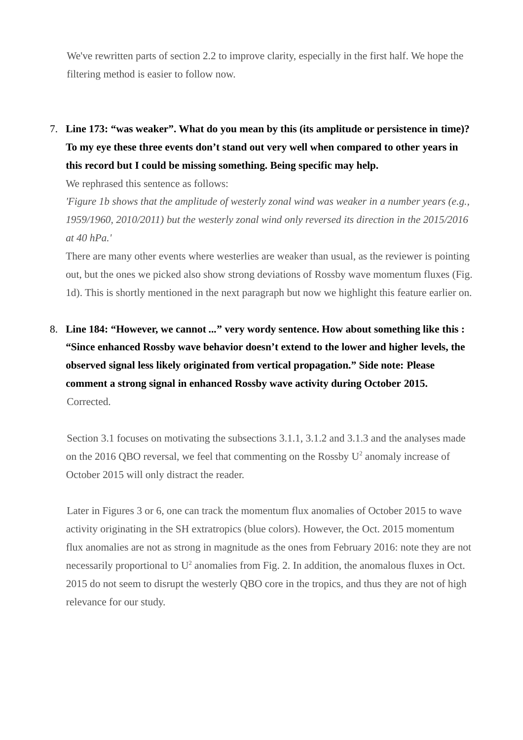We've rewritten parts of section 2.2 to improve clarity, especially in the first half. We hope the filtering method is easier to follow now.

7. **Line 173: "was weaker". What do you mean by this (its amplitude or persistence in time)? To my eye these three events don't stand out very well when compared to other years in this record but I could be missing something. Being specific may help.**

We rephrased this sentence as follows:

*'Figure 1b shows that the amplitude of westerly zonal wind was weaker in a number years (e.g., 1959/1960, 2010/2011) but the westerly zonal wind only reversed its direction in the 2015/2016 at 40 hPa.'*

There are many other events where westerlies are weaker than usual, as the reviewer is pointing out, but the ones we picked also show strong deviations of Rossby wave momentum fluxes (Fig. 1d). This is shortly mentioned in the next paragraph but now we highlight this feature earlier on.

8. **Line 184: "However, we cannot** *...***" very wordy sentence. How about something like this : "Since enhanced Rossby wave behavior doesn't extend to the lower and higher levels, the observed signal less likely originated from vertical propagation." Side note: Please comment a strong signal in enhanced Rossby wave activity during October 2015.** Corrected.

Section 3.1 focuses on motivating the subsections 3.1.1, 3.1.2 and 3.1.3 and the analyses made on the 2016 QBO reversal, we feel that commenting on the Rossby  $U^2$  anomaly increase of October 2015 will only distract the reader.

Later in Figures 3 or 6, one can track the momentum flux anomalies of October 2015 to wave activity originating in the SH extratropics (blue colors). However, the Oct. 2015 momentum flux anomalies are not as strong in magnitude as the ones from February 2016: note they are not necessarily proportional to  $U^2$  anomalies from Fig. 2. In addition, the anomalous fluxes in Oct. 2015 do not seem to disrupt the westerly QBO core in the tropics, and thus they are not of high relevance for our study.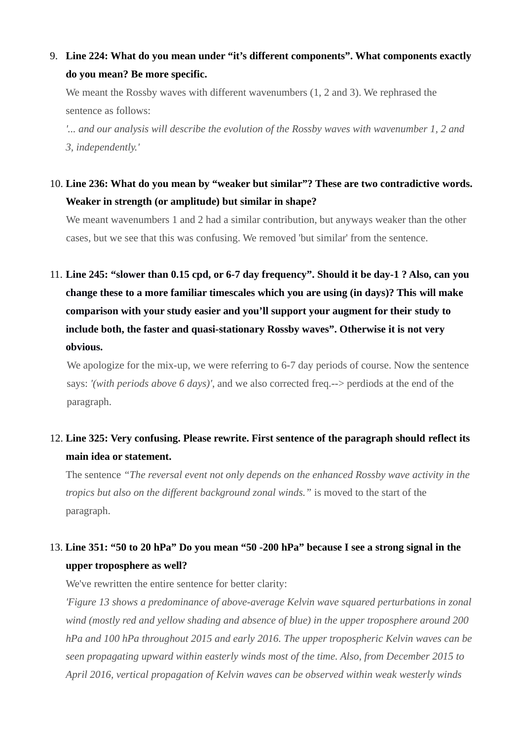9. **Line 224: What do you mean under "it's different components". What components exactly do you mean? Be more specific.**

We meant the Rossby waves with different wavenumbers (1, 2 and 3). We rephrased the sentence as follows:

*'... and our analysis will describe the evolution of the Rossby waves with wavenumber 1, 2 and 3, independently.'*

10. **Line 236: What do you mean by "weaker but similar"? These are two contradictive words. Weaker in strength (or amplitude) but similar in shape?**

We meant wavenumbers 1 and 2 had a similar contribution, but anyways weaker than the other cases, but we see that this was confusing. We removed 'but similar' from the sentence.

11. **Line 245: "slower than 0.15 cpd, or 6-7 day frequency". Should it be day-1 ? Also, can you change these to a more familiar timescales which you are using (in days)? This will make comparison with your study easier and you'll support your augment for their study to include both, the faster and quasi-stationary Rossby waves". Otherwise it is not very obvious.**

We apologize for the mix-up, we were referring to 6-7 day periods of course. Now the sentence says: *'(with periods above 6 days)'*, and we also corrected freq.--> perdiods at the end of the paragraph.

## 12. **Line 325: Very confusing. Please rewrite. First sentence of the paragraph should reflect its main idea or statement.**

The sentence *"The reversal event not only depends on the enhanced Rossby wave activity in the tropics but also on the different background zonal winds."* is moved to the start of the paragraph.

## 13. **Line 351: "50 to 20 hPa" Do you mean "50 -200 hPa" because I see a strong signal in the upper troposphere as well?**

We've rewritten the entire sentence for better clarity:

*'Figure 13 shows a predominance of above-average Kelvin wave squared perturbations in zonal wind (mostly red and yellow shading and absence of blue) in the upper troposphere around 200 hPa and 100 hPa throughout 2015 and early 2016. The upper tropospheric Kelvin waves can be seen propagating upward within easterly winds most of the time. Also, from December 2015 to April 2016, vertical propagation of Kelvin waves can be observed within weak westerly winds*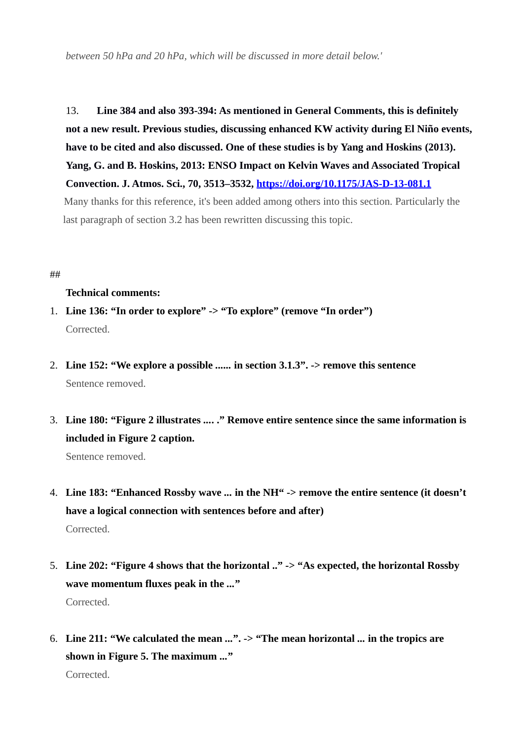*between 50 hPa and 20 hPa, which will be discussed in more detail below.'*

13. **Line 384 and also 393-394: As mentioned in General Comments, this is definitely not a new result. Previous studies, discussing enhanced KW activity during El Niño events, have to be cited and also discussed. One of these studies is by Yang and Hoskins (2013). Yang, G. and B. Hoskins, 2013: ENSO Impact on Kelvin Waves and Associated Tropical Convection. J. Atmos. Sci., 70, 3513–3532,<https://doi.org/10.1175/JAS-D-13-081.1>** Many thanks for this reference, it's been added among others into this section. Particularly the last paragraph of section 3.2 has been rewritten discussing this topic.

#### ##

#### **Technical comments:**

- 1. **Line 136: "In order to explore" -> "To explore" (remove "In order")** Corrected.
- 2. **Line 152: "We explore a possible** *......* **in section 3.1.3". -> remove this sentence** Sentence removed.
- 3. **Line 180: "Figure 2 illustrates** *...***. ." Remove entire sentence since the same information is included in Figure 2 caption.**

Sentence removed.

- 4. **Line 183: "Enhanced Rossby wave** *...* **in the NH" -> remove the entire sentence (it doesn't have a logical connection with sentences before and after)** Corrected.
- 5. **Line 202: "Figure 4 shows that the horizontal .." -> "As expected, the horizontal Rossby wave momentum fluxes peak in the** *...***"** Corrected.
- 6. **Line 211: "We calculated the mean** *...***". -> "The mean horizontal** *...* **in the tropics are shown in Figure 5. The maximum** *...***"** Corrected.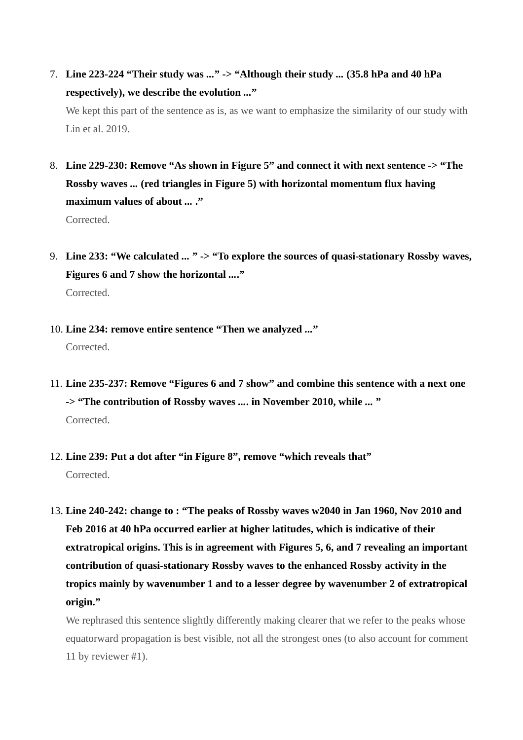7. **Line 223-224 "Their study was** *...***" -> "Although their study** *...* **(35.8 hPa and 40 hPa respectively), we describe the evolution** *...***"**

We kept this part of the sentence as is, as we want to emphasize the similarity of our study with Lin et al. 2019.

- 8. **Line 229-230: Remove "As shown in Figure 5" and connect it with next sentence -> "The Rossby waves** *...* **(red triangles in Figure 5) with horizontal momentum flux having maximum values of about** *...* **."** Corrected.
- 9. **Line 233: "We calculated** *...* **" -> "To explore the sources of quasi-stationary Rossby waves, Figures 6 and 7 show the horizontal** *...***."** Corrected.
- 10. **Line 234: remove entire sentence "Then we analyzed** *...***"** Corrected.
- 11. **Line 235-237: Remove "Figures 6 and 7 show" and combine this sentence with a next one -> "The contribution of Rossby waves** *...***. in November 2010, while** *...* **"** Corrected.
- 12. **Line 239: Put a dot after "in Figure 8", remove "which reveals that"** Corrected.
- 13. **Line 240-242: change to : "The peaks of Rossby waves w2040 in Jan 1960, Nov 2010 and Feb 2016 at 40 hPa occurred earlier at higher latitudes, which is indicative of their extratropical origins. This is in agreement with Figures 5, 6, and 7 revealing an important contribution of quasi-stationary Rossby waves to the enhanced Rossby activity in the tropics mainly by wavenumber 1 and to a lesser degree by wavenumber 2 of extratropical origin."**

We rephrased this sentence slightly differently making clearer that we refer to the peaks whose equatorward propagation is best visible, not all the strongest ones (to also account for comment 11 by reviewer #1).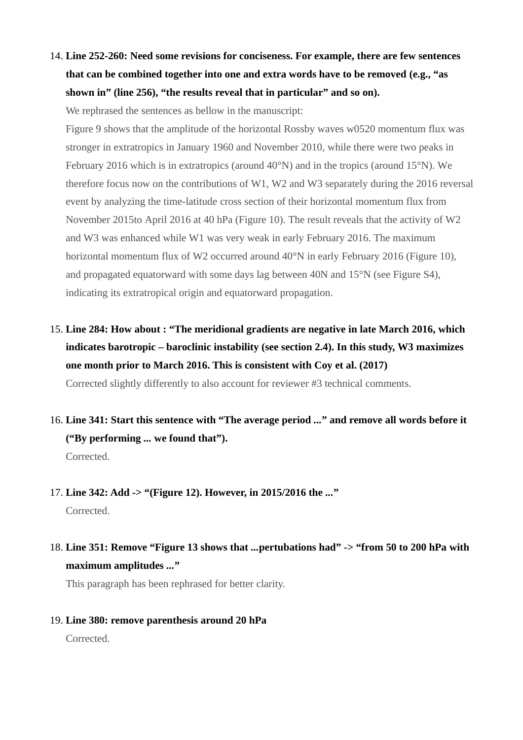14. **Line 252-260: Need some revisions for conciseness. For example, there are few sentences that can be combined together into one and extra words have to be removed (e.g., "as shown in" (line 256), "the results reveal that in particular" and so on).**

We rephrased the sentences as bellow in the manuscript:

Figure 9 shows that the amplitude of the horizontal Rossby waves w0520 momentum flux was stronger in extratropics in January 1960 and November 2010, while there were two peaks in February 2016 which is in extratropics (around 40°N) and in the tropics (around 15°N). We therefore focus now on the contributions of W1, W2 and W3 separately during the 2016 reversal event by analyzing the time-latitude cross section of their horizontal momentum flux from November 2015to April 2016 at 40 hPa (Figure 10). The result reveals that the activity of W2 and W3 was enhanced while W1 was very weak in early February 2016. The maximum horizontal momentum flux of W2 occurred around 40°N in early February 2016 (Figure 10), and propagated equatorward with some days lag between 40N and 15°N (see Figure S4), indicating its extratropical origin and equatorward propagation.

15. **Line 284: How about : "The meridional gradients are negative in late March 2016, which indicates barotropic – baroclinic instability (see section 2.4). In this study, W3 maximizes one month prior to March 2016. This is consistent with Coy et al. (2017)**

Corrected slightly differently to also account for reviewer #3 technical comments.

16. **Line 341: Start this sentence with "The average period** *...***" and remove all words before it ("By performing** *...* **we found that").** Corrected.

## 17. **Line 342: Add -> "(Figure 12). However, in 2015/2016 the** *...***"**

Corrected.

## 18. **Line 351: Remove "Figure 13 shows that** *...***pertubations had" -> "from 50 to 200 hPa with maximum amplitudes** *...***"**

This paragraph has been rephrased for better clarity.

#### 19. **Line 380: remove parenthesis around 20 hPa**

Corrected.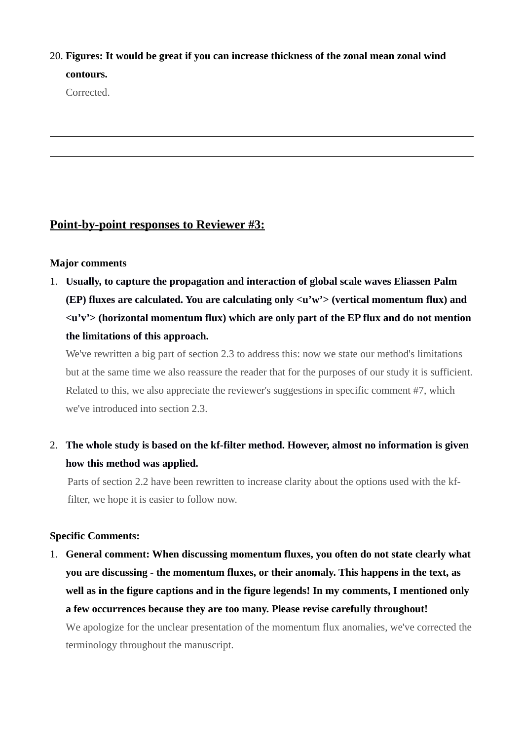## 20. **Figures: It would be great if you can increase thickness of the zonal mean zonal wind contours.**

Corrected.

## **Point-by-point responses to Reviewer #3:**

### **Major comments**

1. **Usually, to capture the propagation and interaction of global scale waves Eliassen Palm (EP) fluxes are calculated. You are calculating only <u'w'> (vertical momentum flux) and <u'v'> (horizontal momentum flux) which are only part of the EP flux and do not mention the limitations of this approach.**

We've rewritten a big part of section 2.3 to address this: now we state our method's limitations but at the same time we also reassure the reader that for the purposes of our study it is sufficient. Related to this, we also appreciate the reviewer's suggestions in specific comment #7, which we've introduced into section 2.3.

2. **The whole study is based on the kf-filter method. However, almost no information is given how this method was applied.**

Parts of section 2.2 have been rewritten to increase clarity about the options used with the kffilter, we hope it is easier to follow now.

### **Specific Comments:**

1. **General comment: When discussing momentum fluxes, you often do not state clearly what you are discussing - the momentum fluxes, or their anomaly. This happens in the text, as well as in the figure captions and in the figure legends! In my comments, I mentioned only a few occurrences because they are too many. Please revise carefully throughout!**

We apologize for the unclear presentation of the momentum flux anomalies, we've corrected the terminology throughout the manuscript.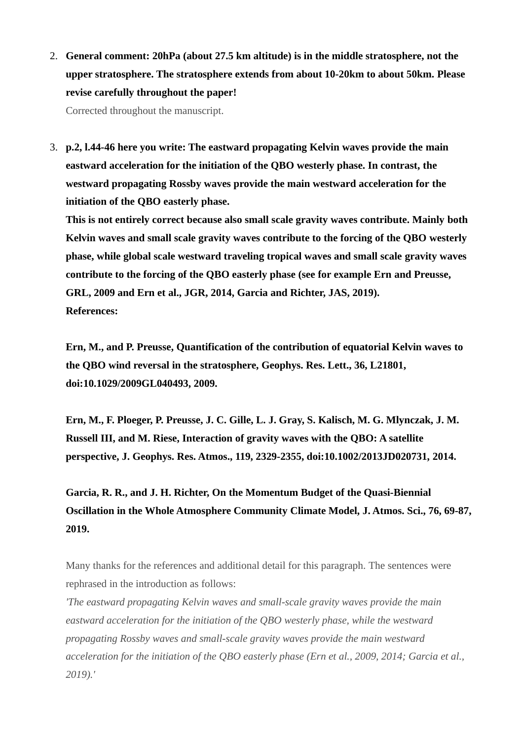2. **General comment: 20hPa (about 27.5 km altitude) is in the middle stratosphere, not the upper stratosphere. The stratosphere extends from about 10-20km to about 50km. Please revise carefully throughout the paper!**

Corrected throughout the manuscript.

3. **p.2, l.44-46 here you write: The eastward propagating Kelvin waves provide the main eastward acceleration for the initiation of the QBO westerly phase. In contrast, the westward propagating Rossby waves provide the main westward acceleration for the initiation of the QBO easterly phase.**

**This is not entirely correct because also small scale gravity waves contribute. Mainly both Kelvin waves and small scale gravity waves contribute to the forcing of the QBO westerly phase, while global scale westward traveling tropical waves and small scale gravity waves contribute to the forcing of the QBO easterly phase (see for example Ern and Preusse, GRL, 2009 and Ern et al., JGR, 2014, Garcia and Richter, JAS, 2019). References:**

**Ern, M., and P. Preusse, Quantification of the contribution of equatorial Kelvin waves to the QBO wind reversal in the stratosphere, Geophys. Res. Lett., 36, L21801, doi:10.1029/2009GL040493, 2009.**

**Ern, M., F. Ploeger, P. Preusse, J. C. Gille, L. J. Gray, S. Kalisch, M. G. Mlynczak, J. M. Russell III, and M. Riese, Interaction of gravity waves with the QBO: A satellite perspective, J. Geophys. Res. Atmos., 119, 2329-2355, doi:10.1002/2013JD020731, 2014.**

**Garcia, R. R., and J. H. Richter, On the Momentum Budget of the Quasi-Biennial Oscillation in the Whole Atmosphere Community Climate Model, J. Atmos. Sci., 76, 69-87, 2019.**

Many thanks for the references and additional detail for this paragraph. The sentences were rephrased in the introduction as follows:

*'The eastward propagating Kelvin waves and small-scale gravity waves provide the main eastward acceleration for the initiation of the QBO westerly phase, while the westward propagating Rossby waves and small-scale gravity waves provide the main westward acceleration for the initiation of the QBO easterly phase (Ern et al., 2009, 2014; Garcia et al., 2019).'*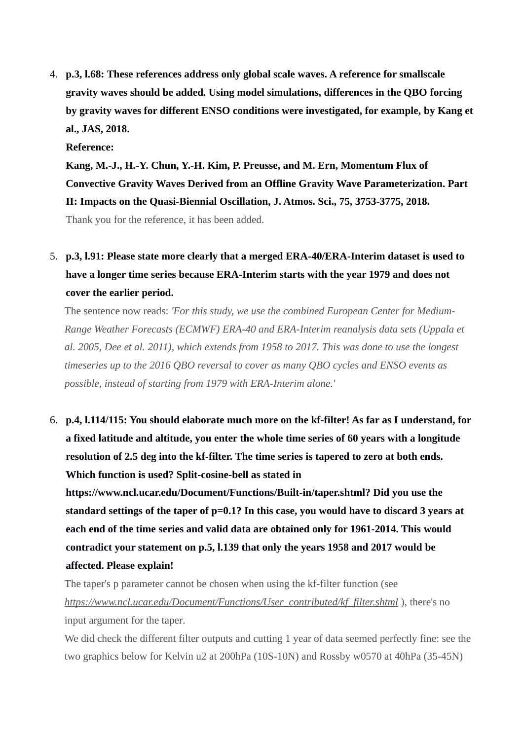4. **p.3, l.68: These references address only global scale waves. A reference for smallscale gravity waves should be added. Using model simulations, differences in the QBO forcing by gravity waves for different ENSO conditions were investigated, for example, by Kang et al., JAS, 2018.**

**Reference:**

**Kang, M.-J., H.-Y. Chun, Y.-H. Kim, P. Preusse, and M. Ern, Momentum Flux of Convective Gravity Waves Derived from an Offline Gravity Wave Parameterization. Part II: Impacts on the Quasi-Biennial Oscillation, J. Atmos. Sci., 75, 3753-3775, 2018.**

Thank you for the reference, it has been added.

5. **p.3, l.91: Please state more clearly that a merged ERA-40/ERA-Interim dataset is used to have a longer time series because ERA-Interim starts with the year 1979 and does not cover the earlier period.**

The sentence now reads: *'For this study, we use the combined European Center for Medium-Range Weather Forecasts (ECMWF) ERA-40 and ERA-Interim reanalysis data sets (Uppala et al. 2005, Dee et al. 2011), which extends from 1958 to 2017. This was done to use the longest timeseries up to the 2016 QBO reversal to cover as many QBO cycles and ENSO events as possible, instead of starting from 1979 with ERA-Interim alone.'*

6. **p.4, l.114/115: You should elaborate much more on the kf-filter! As far as I understand, for a fixed latitude and altitude, you enter the whole time series of 60 years with a longitude resolution of 2.5 deg into the kf-filter. The time series is tapered to zero at both ends. Which function is used? Split-cosine-bell as stated in**

**https://www.ncl.ucar.edu/Document/Functions/Built-in/taper.shtml? Did you use the standard settings of the taper of p=0.1? In this case, you would have to discard 3 years at each end of the time series and valid data are obtained only for 1961-2014. This would contradict your statement on p.5, l.139 that only the years 1958 and 2017 would be affected. Please explain!**

The taper's p parameter cannot be chosen when using the kf-filter function (see *[https://www.ncl.ucar.edu/Document/Functions/User\\_contributed/kf\\_filter.shtml](https://www.ncl.ucar.edu/Document/Functions/User_contributed/kf_filter.shtml)* ), there's no input argument for the taper.

We did check the different filter outputs and cutting 1 year of data seemed perfectly fine: see the two graphics below for Kelvin u2 at 200hPa (10S-10N) and Rossby w0570 at 40hPa (35-45N)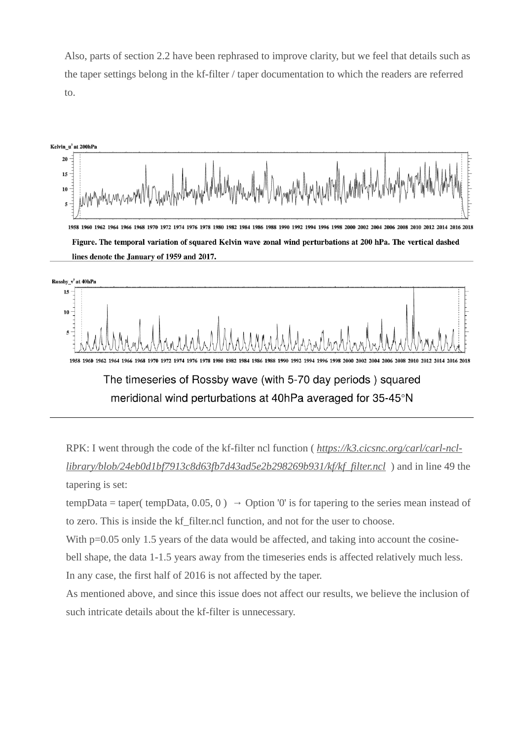Also, parts of section 2.2 have been rephrased to improve clarity, but we feel that details such as the taper settings belong in the kf-filter / taper documentation to which the readers are referred to.



Figure. The temporal variation of squared Kelvin wave zonal wind perturbations at 200 hPa. The vertical dashed lines denote the January of 1959 and 2017.



1958 1960 1962 1964 1966 1968 1970 1972 1974 1976 1978 1980 1982 1984 1986 1988 1990 1992 1994 1996 2000 2002 2004 2006 2008 2010 2012 2014 2016 2018

# The timeseries of Rossby wave (with 5-70 day periods) squared meridional wind perturbations at 40hPa averaged for 35-45°N

RPK: I went through the code of the kf-filter ncl function ( *[https://k3.cicsnc.org/carl/carl-ncl](https://k3.cicsnc.org/carl/carl-ncl-library/blob/24eb0d1bf7913c8d63fb7d43ad5e2b298269b931/kf/kf_filter.ncl)[library/blob/24eb0d1bf7913c8d63fb7d43ad5e2b298269b931/kf/kf\\_filter.ncl](https://k3.cicsnc.org/carl/carl-ncl-library/blob/24eb0d1bf7913c8d63fb7d43ad5e2b298269b931/kf/kf_filter.ncl)* ) and in line 49 the tapering is set:

tempData = taper( tempData, 0.05, 0)  $\rightarrow$  Option '0' is for tapering to the series mean instead of to zero. This is inside the kf\_filter.ncl function, and not for the user to choose.

With  $p=0.05$  only 1.5 years of the data would be affected, and taking into account the cosinebell shape, the data 1-1.5 years away from the timeseries ends is affected relatively much less. In any case, the first half of 2016 is not affected by the taper.

As mentioned above, and since this issue does not affect our results, we believe the inclusion of such intricate details about the kf-filter is unnecessary.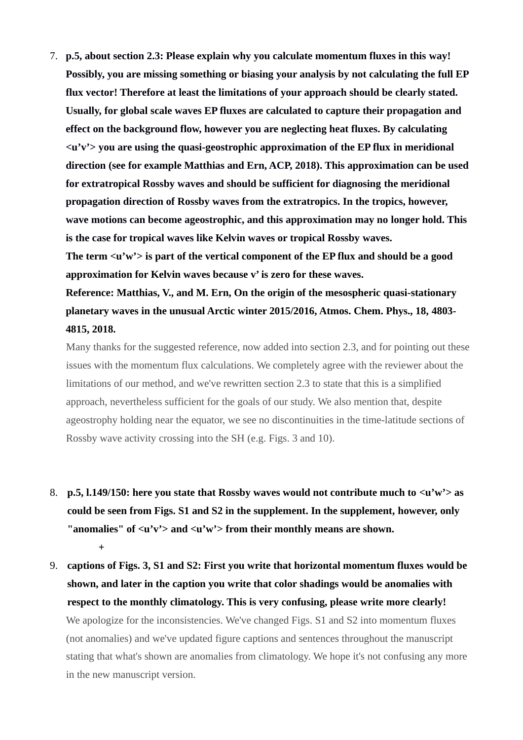7. **p.5, about section 2.3: Please explain why you calculate momentum fluxes in this way! Possibly, you are missing something or biasing your analysis by not calculating the full EP flux vector! Therefore at least the limitations of your approach should be clearly stated. Usually, for global scale waves EP fluxes are calculated to capture their propagation and effect on the background flow, however you are neglecting heat fluxes. By calculating <u'v'> you are using the quasi-geostrophic approximation of the EP flux in meridional direction (see for example Matthias and Ern, ACP, 2018). This approximation can be used for extratropical Rossby waves and should be sufficient for diagnosing the meridional propagation direction of Rossby waves from the extratropics. In the tropics, however, wave motions can become ageostrophic, and this approximation may no longer hold. This is the case for tropical waves like Kelvin waves or tropical Rossby waves. The term <u'w'> is part of the vertical component of the EP flux and should be a good approximation for Kelvin waves because v' is zero for these waves. Reference: Matthias, V., and M. Ern, On the origin of the mesospheric quasi-stationary**

**planetary waves in the unusual Arctic winter 2015/2016, Atmos. Chem. Phys., 18, 4803- 4815, 2018.**

Many thanks for the suggested reference, now added into section 2.3, and for pointing out these issues with the momentum flux calculations. We completely agree with the reviewer about the limitations of our method, and we've rewritten section 2.3 to state that this is a simplified approach, nevertheless sufficient for the goals of our study. We also mention that, despite ageostrophy holding near the equator, we see no discontinuities in the time-latitude sections of Rossby wave activity crossing into the SH (e.g. Figs. 3 and 10).

- 8. **p.5, l.149/150: here you state that Rossby waves would not contribute much to <u'w'> as could be seen from Figs. S1 and S2 in the supplement. In the supplement, however, only**  "anomalies" of  $\langle u'v'\rangle$  and  $\langle u'w'\rangle$  from their monthly means are shown. **+**
- 9. **captions of Figs. 3, S1 and S2: First you write that horizontal momentum fluxes would be shown, and later in the caption you write that color shadings would be anomalies with respect to the monthly climatology. This is very confusing, please write more clearly!** We apologize for the inconsistencies. We've changed Figs. S1 and S2 into momentum fluxes (not anomalies) and we've updated figure captions and sentences throughout the manuscript stating that what's shown are anomalies from climatology. We hope it's not confusing any more in the new manuscript version.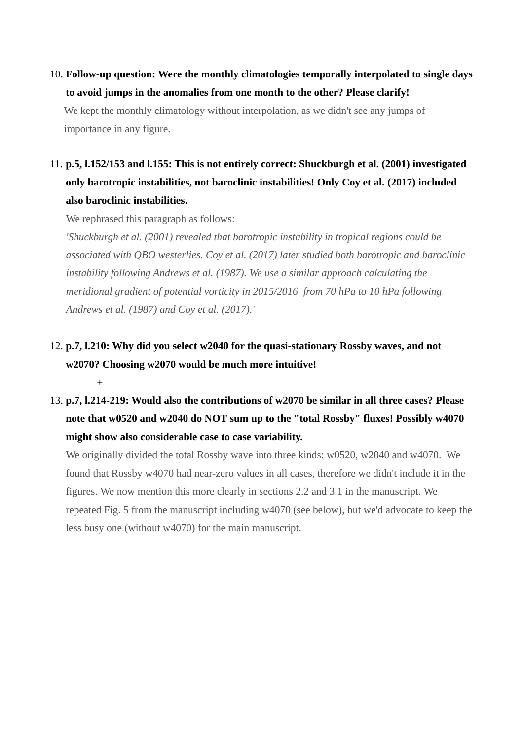10. **Follow-up question: Were the monthly climatologies temporally interpolated to single days to avoid jumps in the anomalies from one month to the other? Please clarify!**

We kept the monthly climatology without interpolation, as we didn't see any jumps of importance in any figure.

# 11. **p.5, l.152/153 and l.155: This is not entirely correct: Shuckburgh et al. (2001) investigated only barotropic instabilities, not baroclinic instabilities! Only Coy et al. (2017) included also baroclinic instabilities.**

We rephrased this paragraph as follows:

**+**

*'Shuckburgh et al. (2001) revealed that barotropic instability in tropical regions could be associated with QBO westerlies. Coy et al. (2017) later studied both barotropic and baroclinic instability following Andrews et al. (1987). We use a similar approach calculating the meridional gradient of potential vorticity in 2015/2016 from 70 hPa to 10 hPa following Andrews et al. (1987) and Coy et al. (2017).'*

# 12. **p.7, l.210: Why did you select w2040 for the quasi-stationary Rossby waves, and not w2070? Choosing w2070 would be much more intuitive!**

# 13. **p.7, l.214-219: Would also the contributions of w2070 be similar in all three cases? Please note that w0520 and w2040 do NOT sum up to the "total Rossby" fluxes! Possibly w4070 might show also considerable case to case variability.**

We originally divided the total Rossby wave into three kinds: w0520, w2040 and w4070. We found that Rossby w4070 had near-zero values in all cases, therefore we didn't include it in the figures. We now mention this more clearly in sections 2.2 and 3.1 in the manuscript. We repeated Fig. 5 from the manuscript including w4070 (see below), but we'd advocate to keep the less busy one (without w4070) for the main manuscript.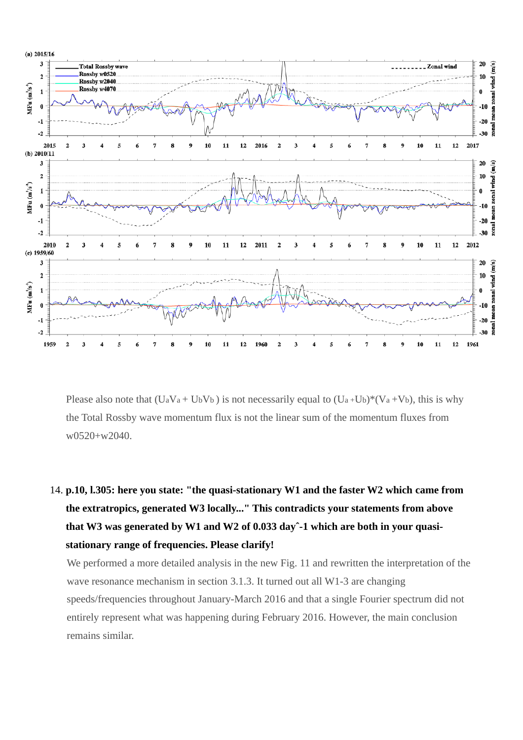

Please also note that  $(UaVa + UbVb)$  is not necessarily equal to  $(Ua+Ub)*(Va+Vb)$ , this is why the Total Rossby wave momentum flux is not the linear sum of the momentum fluxes from w0520+w2040.

# 14. **p.10, l.305: here you state: "the quasi-stationary W1 and the faster W2 which came from the extratropics, generated W3 locally..." This contradicts your statements from above that W3 was generated by W1 and W2 of 0.033 dayˆ-1 which are both in your quasistationary range of frequencies. Please clarify!**

We performed a more detailed analysis in the new Fig. 11 and rewritten the interpretation of the wave resonance mechanism in section 3.1.3. It turned out all W1-3 are changing speeds/frequencies throughout January-March 2016 and that a single Fourier spectrum did not entirely represent what was happening during February 2016. However, the main conclusion remains similar.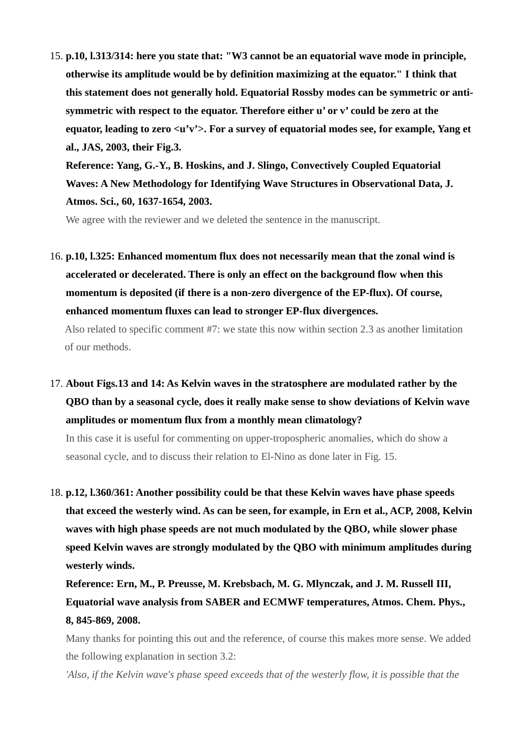15. **p.10, l.313/314: here you state that: "W3 cannot be an equatorial wave mode in principle, otherwise its amplitude would be by definition maximizing at the equator." I think that this statement does not generally hold. Equatorial Rossby modes can be symmetric or antisymmetric with respect to the equator. Therefore either u' or v' could be zero at the equator, leading to zero <u'v'>. For a survey of equatorial modes see, for example, Yang et al., JAS, 2003, their Fig.3.**

**Reference: Yang, G.-Y., B. Hoskins, and J. Slingo, Convectively Coupled Equatorial Waves: A New Methodology for Identifying Wave Structures in Observational Data, J. Atmos. Sci., 60, 1637-1654, 2003.**

We agree with the reviewer and we deleted the sentence in the manuscript.

16. **p.10, l.325: Enhanced momentum flux does not necessarily mean that the zonal wind is accelerated or decelerated. There is only an effect on the background flow when this momentum is deposited (if there is a non-zero divergence of the EP-flux). Of course, enhanced momentum fluxes can lead to stronger EP-flux divergences.**

Also related to specific comment #7: we state this now within section 2.3 as another limitation of our methods.

17. **About Figs.13 and 14: As Kelvin waves in the stratosphere are modulated rather by the QBO than by a seasonal cycle, does it really make sense to show deviations of Kelvin wave amplitudes or momentum flux from a monthly mean climatology?**

In this case it is useful for commenting on upper-tropospheric anomalies, which do show a seasonal cycle, and to discuss their relation to El-Nino as done later in Fig. 15.

18. **p.12, l.360/361: Another possibility could be that these Kelvin waves have phase speeds that exceed the westerly wind. As can be seen, for example, in Ern et al., ACP, 2008, Kelvin waves with high phase speeds are not much modulated by the QBO, while slower phase speed Kelvin waves are strongly modulated by the QBO with minimum amplitudes during westerly winds.**

**Reference: Ern, M., P. Preusse, M. Krebsbach, M. G. Mlynczak, and J. M. Russell III, Equatorial wave analysis from SABER and ECMWF temperatures, Atmos. Chem. Phys., 8, 845-869, 2008.**

Many thanks for pointing this out and the reference, of course this makes more sense. We added the following explanation in section 3.2:

*'Also, if the Kelvin wave's phase speed exceeds that of the westerly flow, it is possible that the*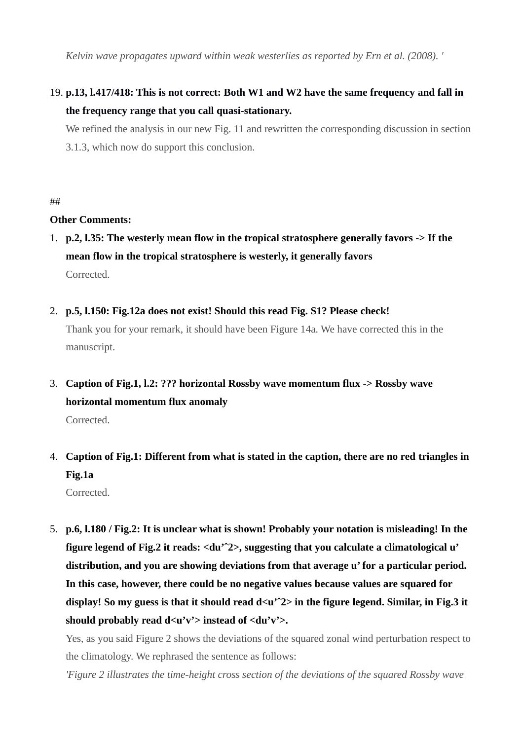*Kelvin wave propagates upward within weak westerlies as reported by Ern et al. (2008). '*

## 19. **p.13, l.417/418: This is not correct: Both W1 and W2 have the same frequency and fall in the frequency range that you call quasi-stationary.**

We refined the analysis in our new Fig. 11 and rewritten the corresponding discussion in section 3.1.3, which now do support this conclusion.

##

### **Other Comments:**

- 1. **p.2, l.35: The westerly mean flow in the tropical stratosphere generally favors -> If the mean flow in the tropical stratosphere is westerly, it generally favors** Corrected.
- 2. **p.5, l.150: Fig.12a does not exist! Should this read Fig. S1? Please check!**

Thank you for your remark, it should have been Figure 14a. We have corrected this in the manuscript.

3. **Caption of Fig.1, l.2: ??? horizontal Rossby wave momentum flux -> Rossby wave horizontal momentum flux anomaly**

Corrected.

- 4. **Caption of Fig.1: Different from what is stated in the caption, there are no red triangles in Fig.1a** Corrected.
- 5. **p.6, l.180 / Fig.2: It is unclear what is shown! Probably your notation is misleading! In the figure legend of Fig.2 it reads: <du'ˆ2>, suggesting that you calculate a climatological u' distribution, and you are showing deviations from that average u' for a particular period. In this case, however, there could be no negative values because values are squared for display! So my guess is that it should read d<u'ˆ2> in the figure legend. Similar, in Fig.3 it**  should probably read  $d \langle u'v' \rangle$  instead of  $\langle du'v' \rangle$ .

Yes, as you said Figure 2 shows the deviations of the squared zonal wind perturbation respect to the climatology. We rephrased the sentence as follows:

*'Figure 2 illustrates the time-height cross section of the deviations of the squared Rossby wave*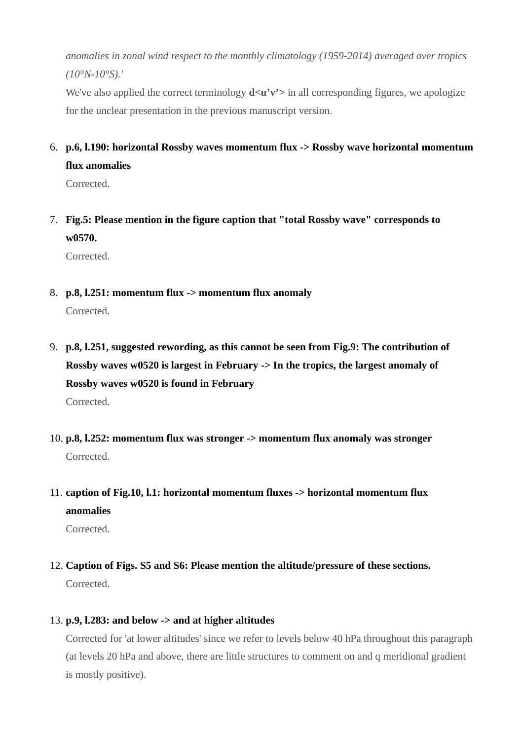*anomalies in zonal wind respect to the monthly climatology (1959-2014) averaged over tropics (10°N-10°S).'*

We've also applied the correct terminology  $d\langle u'v'\rangle$  in all corresponding figures, we apologize for the unclear presentation in the previous manuscript version.

6. **p.6, l.190: horizontal Rossby waves momentum flux -> Rossby wave horizontal momentum flux anomalies**

Corrected.

7. **Fig.5: Please mention in the figure caption that "total Rossby wave" corresponds to w0570.**

Corrected.

8. **p.8, l.251: momentum flux -> momentum flux anomaly**

Corrected.

- 9. **p.8, l.251, suggested rewording, as this cannot be seen from Fig.9: The contribution of Rossby waves w0520 is largest in February -> In the tropics, the largest anomaly of Rossby waves w0520 is found in February** Corrected.
- 10. **p.8, l.252: momentum flux was stronger -> momentum flux anomaly was stronger** Corrected.
- 11. **caption of Fig.10, l.1: horizontal momentum fluxes -> horizontal momentum flux anomalies**

Corrected.

- 12. **Caption of Figs. S5 and S6: Please mention the altitude/pressure of these sections.** Corrected.
- 13. **p.9, l.283: and below -> and at higher altitudes**

Corrected for 'at lower altitudes' since we refer to levels below 40 hPa throughout this paragraph (at levels 20 hPa and above, there are little structures to comment on and q meridional gradient is mostly positive).